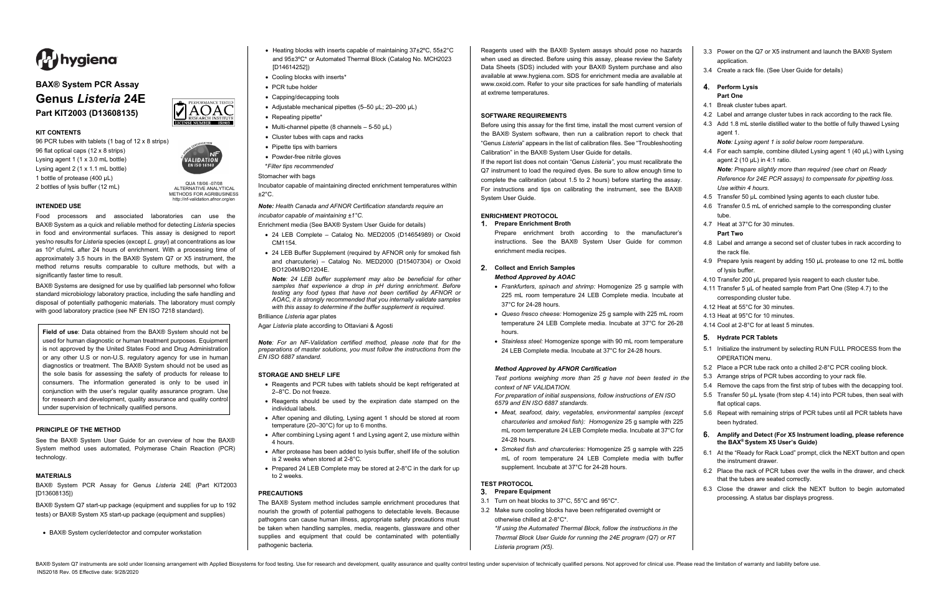BAX® System Q7 instruments are sold under licensing arrangement with Applied Biosystems for food testing. Use for research and development, quality assurance and quality control testing under supervision of technically qua INS2018 Rev. 05 Effective date: 9/28/2020

QUA 18/06 -07/08 ALTERNATIVE ANALYTICAL METHODS FOR AGRIBUSINESS http://nf-validation.afnor.org/en



# **BAX® System PCR Assay Genus** *Listeria* **24E Part KIT2003 (D13608135)**

#### **KIT CONTENTS**

96 PCR tubes with tablets (1 bag of 12 x 8 strips) 96 flat optical caps (12 x 8 strips) Lysing agent 1 (1 x 3.0 mL bottle) Lysing agent 2 (1 x 1.1 mL bottle) 1 bottle of protease (400 µL) 2 bottles of lysis buffer (12 mL)



**DAOAC** 

## **INTENDED USE**

Food processors and associated laboratories can use the BAX® System as a quick and reliable method for detecting *Listeria* species in food and environmental surfaces. This assay is designed to report yes/no results for *Listeria* species (except *L. grayi*) at concentrations as low as  $10<sup>4</sup>$  cfu/mL after 24 hours of enrichment. With a processing time of approximately 3.5 hours in the BAX® System Q7 or X5 instrument, the method returns results comparable to culture methods, but with a significantly faster time to result.

BAX® Systems are designed for use by qualified lab personnel who follow standard microbiology laboratory practice, including the safe handling and disposal of potentially pathogenic materials. The laboratory must comply with good laboratory practice (see NF EN ISO 7218 standard).

Incubator capable of maintaining directed enrichment temperatures within  $+2^{\circ}$ C.

**Field of use**: Data obtained from the BAX® System should not be used for human diagnostic or human treatment purposes. Equipment is not approved by the United States Food and Drug Administration or any other U.S or non-U.S. regulatory agency for use in human diagnostics or treatment. The BAX® System should not be used as the sole basis for assessing the safety of products for release to consumers. The information generated is only to be used in conjunction with the user's regular quality assurance program. Use for research and development, quality assurance and quality control under supervision of technically qualified persons.

#### **PRINCIPLE OF THE METHOD**

See the BAX® System User Guide for an overview of how the BAX® System method uses automated, Polymerase Chain Reaction (PCR) technology.

#### **MATERIALS**

BAX® System PCR Assay for Genus *Listeria* 24E (Part KIT2003 [D13608135])

BAX® System Q7 start-up package (equipment and supplies for up to 192 tests) or BAX® System X5 start-up package (equipment and supplies)

• BAX® System cycler/detector and computer workstation

- Heating blocks with inserts capable of maintaining 37±2ºC, 55±2°C and 95±3ºC\* or Automated Thermal Block (Catalog No. MCH2023 [D14614252])
- Cooling blocks with inserts\*
- PCR tube holder
- Capping/decapping tools
- Adjustable mechanical pipettes (5–50 uL; 20–200 uL)
- Repeating pipette\*
- Multi-channel pipette (8 channels  $-5-50$  µL)
- Cluster tubes with caps and racks
- Pipette tips with barriers
- Powder-free nitrile gloves
- \**Filter tips recommended*

## Stomacher with bags

*Note: Health Canada and AFNOR Certification standards require an incubator capable of maintaining ±1°C.*

- Enrichment media (See BAX® System User Guide for details)
- 24 LEB Complete Catalog No. MED2005 (D14654989) or Oxoid CM1154.
- 24 LEB Buffer Supplement (required by AFNOR only for smoked fish and charcuterie) – Catalog No. MED2000 (D15407304) or Oxoid BO1204M/BO1204E.

*Note: 24 LEB buffer supplement may also be beneficial for other samples that experience a drop in pH during enrichment. Before testing any food types that have not been certified by AFNOR or AOAC, it is strongly recommended that you internally validate samples with this assay to determine if the buffer supplement is required*.

- 4.1 Break cluster tubes apart.
- 4.2 Label and arrange cluster tubes in rack according to the rack file.
- 4.3 Add 1.8 mL sterile distilled water to the bottle of fully thawed Lysing agent 1

Brilliance *Listeria* agar plates

Agar *Listeria* plate according to Ottaviani & Agosti

4.4 For each sample, combine diluted Lysing agent 1 (40 µL) with Lysing agent 2 (10  $\mu$ L) in 4:1 ratio.

*Note: For an NF-Validation certified method, please note that for the preparations of master solutions, you must follow the instructions from the EN ISO 6887 standard.*

#### **STORAGE AND SHELF LIFE**

- Reagents and PCR tubes with tablets should be kept refrigerated at 2–8°C. Do not freeze.
- Reagents should be used by the expiration date stamped on the individual labels.
- After opening and diluting, Lysing agent 1 should be stored at room temperature (20–30°C) for up to 6 months.
- After combining Lysing agent 1 and Lysing agent 2, use mixture within 4 hours.
- After protease has been added to lysis buffer, shelf life of the solution is 2 weeks when stored at 2-8°C.
- Prepared 24 LEB Complete may be stored at 2-8°C in the dark for up to 2 weeks.

#### **PRECAUTIONS**

The BAX® System method includes sample enrichment procedures that nourish the growth of potential pathogens to detectable levels. Because pathogens can cause human illness, appropriate safety precautions must be taken when handling samples, media, reagents, glassware and other supplies and equipment that could be contaminated with potentially pathogenic bacteria.

Reagents used with the BAX® System assays should pose no hazards when used as directed. Before using this assay, please review the Safety Data Sheets (SDS) included with your BAX® System purchase and also available at www.hygiena.com. SDS for enrichment media are available at www.oxoid.com. Refer to your site practices for safe handling of materials at extreme temperatures.

#### **SOFTWARE REQUIREMENTS**

Before using this assay for the first time, install the most current version of the BAX® System software, then run a calibration report to check that "Genus *Listeria*" appears in the list of calibration files. See "Troubleshooting Calibration" in the BAX® System User Guide for details.

If the report list does not contain "Genus *Listeria"*, you must recalibrate the Q7 instrument to load the required dyes. Be sure to allow enough time to complete the calibration (about 1.5 to 2 hours) before starting the assay. For instructions and tips on calibrating the instrument, see the BAX® System User Guide.

#### **ENRICHMENT PROTOCOL**

#### **Prepare Enrichment Broth**

Prepare enrichment broth according to the manufacturer's instructions. See the BAX® System User Guide for common enrichment media recipes.

## **Collect and Enrich Samples** *Method Approved by AOAC*

- *Frankfurters, spinach and shrimp:* Homogenize 25 g sample with 225 mL room temperature 24 LEB Complete media. Incubate at 37°C for 24-28 hours.
- *Queso fresco cheese:* Homogenize 25 g sample with 225 mL room temperature 24 LEB Complete media. Incubate at 37°C for 26-28 hours.
- *Stainless steel:* Homogenize sponge with 90 mL room temperature 24 LEB Complete media. Incubate at 37°C for 24-28 hours.

#### *Method Approved by AFNOR Certification*

*Test portions weighing more than 25 g have not been tested in the context of NF VALIDATION.*

*For preparation of initial suspensions, follow instructions of EN ISO 6579 and EN ISO 6887 standards.*

- *Meat, seafood, dairy, vegetables, environmental samples (except charcuteries and smoked fish): Homogenize* 25 g sample with 225 mL room temperature 24 LEB Complete media. Incubate at 37°C for 24-28 hours.
- *Smoked fish and charcuteries:* Homogenize 25 g sample with 225 mL of room temperature 24 LEB Complete media with buffer supplement. Incubate at 37°C for 24-28 hours.

# **TEST PROTOCOL**

- **Prepare Equipment**
- 3.1 Turn on heat blocks to 37°C, 55°C and 95°C\*.
- 3.2 Make sure cooling blocks have been refrigerated overnight or otherwise chilled at 2-8°C\*.

*\*If using the Automated Thermal Block, follow the instructions in the Thermal Block User Guide for running the 24E program (Q7) or RT Listeria program (X5).*

- 3.3 Power on the Q7 or X5 instrument and launch the BAX® System application
- 3.4 Create a rack file. (See User Guide for details)

## **Perform Lysis Part One**

*Note: Lysing agent 1 is solid below room temperature.*

*Note: Prepare slightly more than required (see chart on Ready Reference for 24E PCR assays) to compensate for pipetting loss. Use within 4 hours.*

- 4.5 Transfer 50 µL combined lysing agents to each cluster tube.
- 4.6 Transfer 0.5 mL of enriched sample to the corresponding cluster tube.
- 4.7 Heat at 37°C for 30 minutes.

## **Part Two**

- 4.8 Label and arrange a second set of cluster tubes in rack according to the rack file.
- 4.9 Prepare lysis reagent by adding 150 µL protease to one 12 mL bottle of lysis buffer.
- 4.10 Transfer 200 µL prepared lysis reagent to each cluster tube.
- 4.11 Transfer 5 µL of heated sample from Part One (Step 4.7) to the corresponding cluster tube.
- 4.12 Heat at 55°C for 30 minutes.
- 4.13 Heat at 95°C for 10 minutes.
- 4.14 Cool at 2-8°C for at least 5 minutes.

# **Hydrate PCR Tablets**

- 5.1 Initialize the instrument by selecting RUN FULL PROCESS from the OPERATION menu.
- 5.2 Place a PCR tube rack onto a chilled 2-8°C PCR cooling block.
- 5.3 Arrange strips of PCR tubes according to your rack file.
- 5.4 Remove the caps from the first strip of tubes with the decapping tool.
- 5.5 Transfer 50 µL lysate (from step 4.14) into PCR tubes, then seal with flat optical caps.
- 5.6 Repeat with remaining strips of PCR tubes until all PCR tablets have been hydrated.
- **Amplify and Detect (For X5 Instrument loading, please reference the BAX® System X5 User's Guide)**
- 6.1 At the "Ready for Rack Load" prompt, click the NEXT button and open the instrument drawer.
- 6.2 Place the rack of PCR tubes over the wells in the drawer, and check that the tubes are seated correctly.
- 6.3 Close the drawer and click the NEXT button to begin automated processing. A status bar displays progress.